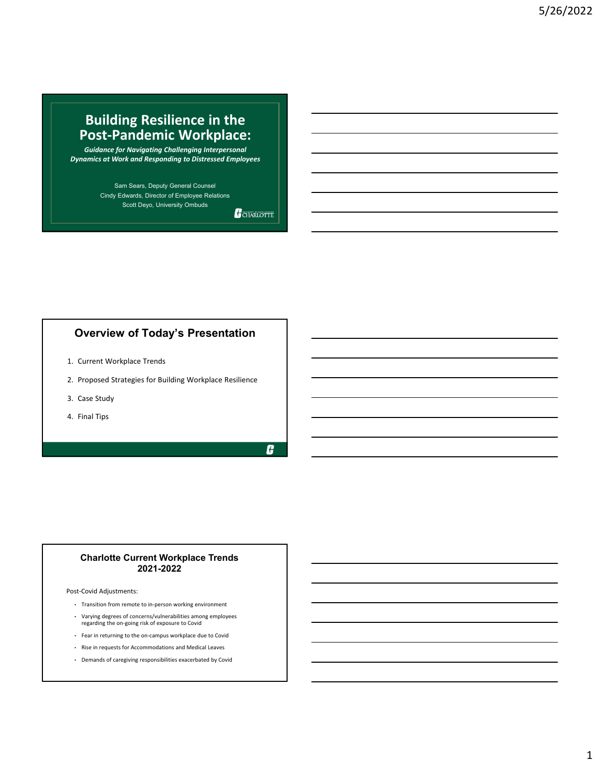# **Building Resilience in the Post‐Pandemic Workplace:**

*Guidance for Navigating Challenging Interpersonal Dynamics at Work and Responding to Distressed Employees*

> Sam Sears, Deputy General Counsel Cindy Edwards, Director of Employee Relations Scott Deyo, University Ombuds

CHARLOTTE

# **Overview of Today's Presentation**

- 1. Current Workplace Trends
- 2. Proposed Strategies for Building Workplace Resilience
- 3. Case Study
- 4. Final Tips

H

#### **Charlotte Current Workplace Trends 2021-2022**

Post‐Covid Adjustments:

- Transition from remote to in‐person working environment
- Varying degrees of concerns/vulnerabilities among employees regarding the on‐going risk of exposure to Covid
- Fear in returning to the on‐campus workplace due to Covid
- Rise in requests for Accommodations and Medical Leaves
- Demands of caregiving responsibilities exacerbated by Covid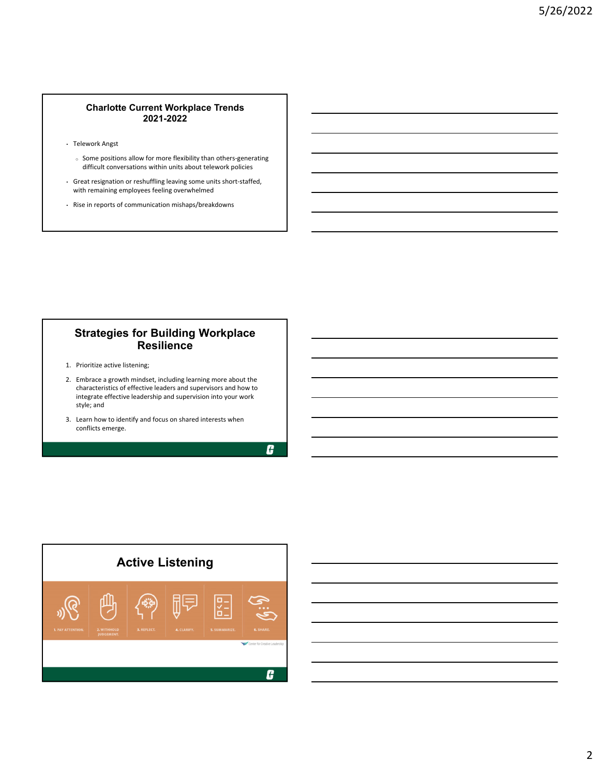#### **Charlotte Current Workplace Trends 2021-2022**

- Telework Angst
	- <sup>o</sup> Some positions allow for more flexibility than others‐generating difficult conversations within units about telework policies
- Great resignation or reshuffling leaving some units short‐staffed, with remaining employees feeling overwhelmed
- Rise in reports of communication mishaps/breakdowns

## **Strategies for Building Workplace Resilience**

- 1. Prioritize active listening;
- 2. Embrace a growth mindset, including learning more about the characteristics of effective leaders and supervisors and how to integrate effective leadership and supervision into your work style; and
- 3. Learn how to identify and focus on shared interests when conflicts emerge.

G

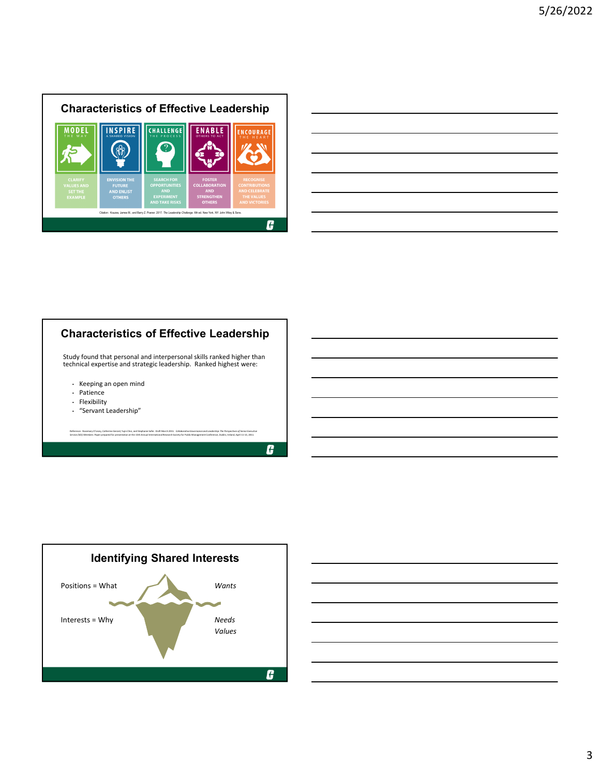



# **Characteristics of Effective Leadership**

Study found that personal and interpersonal skills ranked higher than technical expertise and strategic leadership. Ranked highest were:

- Keeping an open mind
- Patience
- Flexibility
- "Servant Leadership"

Reference: Rosemary O'Leary, Catherine Gerard, Yujin Choi, and Stephanie Sofer. Draft March 2011. Colloborative Governance and Leadership: The Perspectives of Senior Executive *Service (SES) Members*. Paper prepared for presentation at the 15th Annual International Research Society for Public Management Conference, Dublin, Ireland, April 11‐13, 2011.





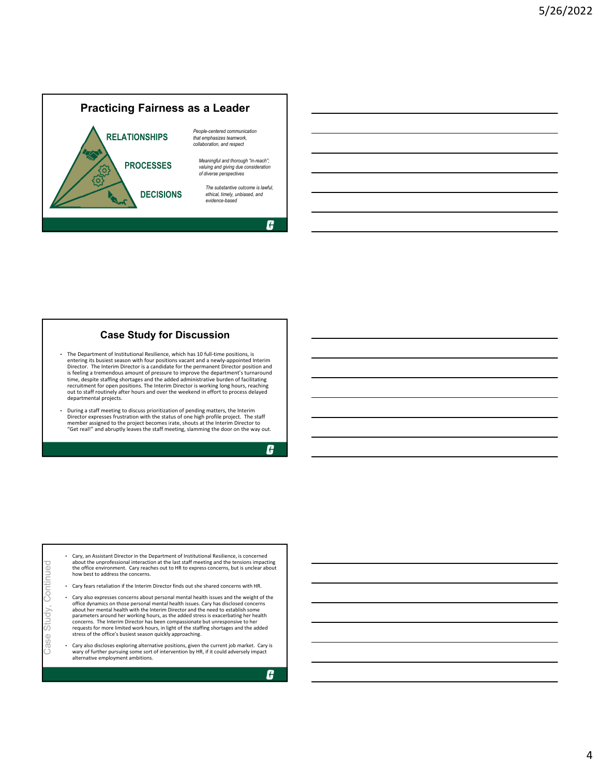

#### **Case Study for Discussion**

- The Department of Institutional Resilience, which has 10 full‐time positions, is entering its busiest season with four positions vacant and a newly‐appointed Interim Director. The Interim Director is a candidate for the permanent Director position and is feeling a tremendous amount of pressure to improve the department's turnaround time, despite staffing shortages and the added administrative burden of facilitating<br>recruitment for open positions. The Interim Director is working long hours, reaching<br>out to staff routinely after hours and over the week departmental projects.
- During a staff meeting to discuss prioritization of pending matters, the Interim<br>Director expresses frustration with the status of one high profile project. The staff<br>member assigned to the project becomes irate, shouts

G

| how best to address the concerns.                          |                                                                                                                                                                                                                                                                                                                                                                                                                                                                                                                                                                                                                                                                                                                                                                                                                                                                                                                                                                                                                                                                                                                        |
|------------------------------------------------------------|------------------------------------------------------------------------------------------------------------------------------------------------------------------------------------------------------------------------------------------------------------------------------------------------------------------------------------------------------------------------------------------------------------------------------------------------------------------------------------------------------------------------------------------------------------------------------------------------------------------------------------------------------------------------------------------------------------------------------------------------------------------------------------------------------------------------------------------------------------------------------------------------------------------------------------------------------------------------------------------------------------------------------------------------------------------------------------------------------------------------|
|                                                            |                                                                                                                                                                                                                                                                                                                                                                                                                                                                                                                                                                                                                                                                                                                                                                                                                                                                                                                                                                                                                                                                                                                        |
| stress of the office's busiest season quickly approaching. |                                                                                                                                                                                                                                                                                                                                                                                                                                                                                                                                                                                                                                                                                                                                                                                                                                                                                                                                                                                                                                                                                                                        |
| alternative employment ambitions.                          |                                                                                                                                                                                                                                                                                                                                                                                                                                                                                                                                                                                                                                                                                                                                                                                                                                                                                                                                                                                                                                                                                                                        |
|                                                            | - Cary, an Assistant Director in the Department of Institutional Resilience, is concerned<br>about the unprofessional interaction at the last staff meeting and the tensions impacting<br>the office environment. Cary reaches out to HR to express concerns, but is unclear about<br>Cary fears retaliation if the Interim Director finds out she shared concerns with HR.<br>٠<br>Cary also expresses concerns about personal mental health issues and the weight of the<br>٠<br>office dynamics on those personal mental health issues. Cary has disclosed concerns<br>about her mental health with the Interim Director and the need to establish some<br>parameters around her working hours, as the added stress is exacerbating her health<br>concerns. The Interim Director has been compassionate but unresponsive to her<br>requests for more limited work hours, in light of the staffing shortages and the added<br>- Cary also discloses exploring alternative positions, given the current job market. Cary is<br>wary of further pursuing some sort of intervention by HR, if it could adversely impact |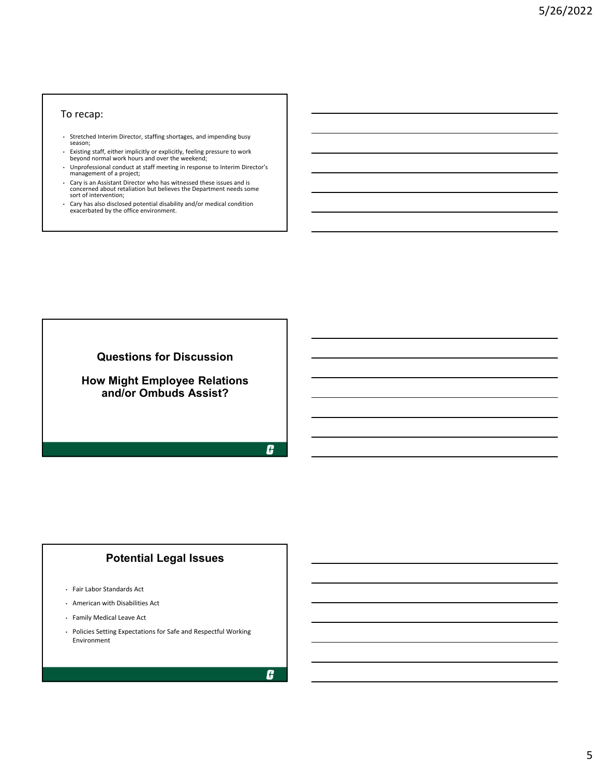### To recap:

- Stretched Interim Director, staffing shortages, and impending busy season;
- Existing staff, either implicitly or explicitly, feeling pressure to work beyond normal work hours and over the weekend;
- Unprofessional conduct at staff meeting in response to Interim Director's management of a project;
- Cary is an Assistant Director who has witnessed these issues and is concerned about retaliation but believes the Department needs some sort of intervention;
- Cary has also disclosed potential disability and/or medical condition exacerbated by the office environment.

**Questions for Discussion**

### **How Might Employee Relations and/or Ombuds Assist?**

H

# **Potential Legal Issues**

- Fair Labor Standards Act
- American with Disabilities Act
- Family Medical Leave Act
- Policies Setting Expectations for Safe and Respectful Working Environment